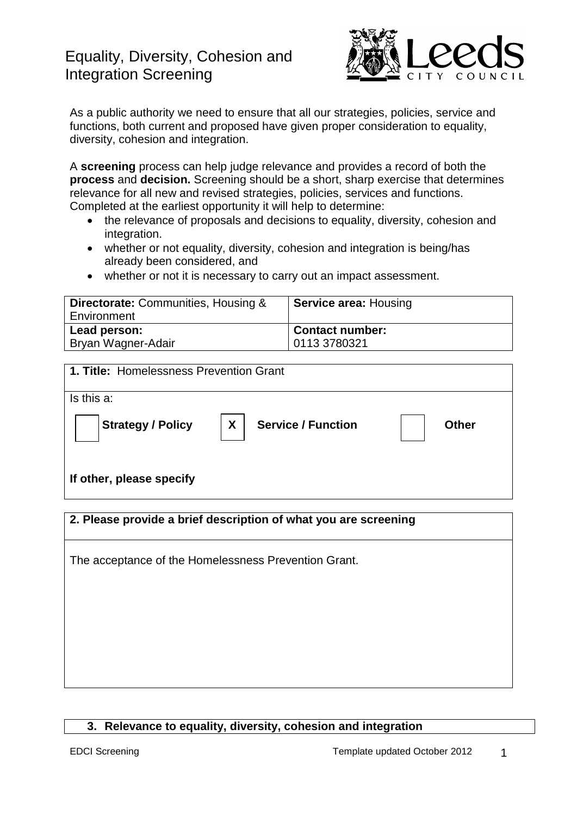# Equality, Diversity, Cohesion and Integration Screening



As a public authority we need to ensure that all our strategies, policies, service and functions, both current and proposed have given proper consideration to equality, diversity, cohesion and integration.

A **screening** process can help judge relevance and provides a record of both the **process** and **decision.** Screening should be a short, sharp exercise that determines relevance for all new and revised strategies, policies, services and functions. Completed at the earliest opportunity it will help to determine:

- the relevance of proposals and decisions to equality, diversity, cohesion and integration.
- whether or not equality, diversity, cohesion and integration is being/has already been considered, and
- whether or not it is necessary to carry out an impact assessment.

| <b>Directorate: Communities, Housing &amp;</b><br>Environment | <b>Service area: Housing</b> |
|---------------------------------------------------------------|------------------------------|
| Lead person:                                                  | <b>Contact number:</b>       |
| Bryan Wagner-Adair                                            | 0113 3780321                 |

| <b>1. Title: Homelessness Prevention Grant</b> |                                       |              |  |  |
|------------------------------------------------|---------------------------------------|--------------|--|--|
| Is this a:                                     |                                       |              |  |  |
| <b>Strategy / Policy</b>                       | $X \mid$<br><b>Service / Function</b> | <b>Other</b> |  |  |
| If other, please specify                       |                                       |              |  |  |

**2. Please provide a brief description of what you are screening** The acceptance of the Homelessness Prevention Grant.

### **3. Relevance to equality, diversity, cohesion and integration**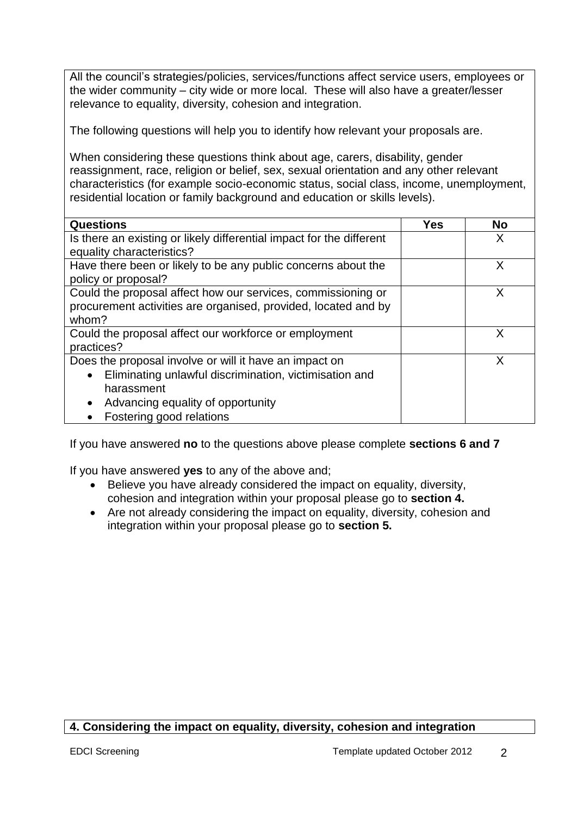All the council's strategies/policies, services/functions affect service users, employees or the wider community – city wide or more local. These will also have a greater/lesser relevance to equality, diversity, cohesion and integration.

The following questions will help you to identify how relevant your proposals are.

When considering these questions think about age, carers, disability, gender reassignment, race, religion or belief, sex, sexual orientation and any other relevant characteristics (for example socio-economic status, social class, income, unemployment, residential location or family background and education or skills levels).

| <b>Questions</b>                                                     | Yes | <b>No</b> |
|----------------------------------------------------------------------|-----|-----------|
| Is there an existing or likely differential impact for the different |     | X         |
| equality characteristics?                                            |     |           |
| Have there been or likely to be any public concerns about the        |     | X         |
| policy or proposal?                                                  |     |           |
| Could the proposal affect how our services, commissioning or         |     | X         |
| procurement activities are organised, provided, located and by       |     |           |
| whom?                                                                |     |           |
| Could the proposal affect our workforce or employment                |     | X         |
| practices?                                                           |     |           |
| Does the proposal involve or will it have an impact on               |     | X         |
| Eliminating unlawful discrimination, victimisation and<br>$\bullet$  |     |           |
| harassment                                                           |     |           |
| Advancing equality of opportunity                                    |     |           |
| Fostering good relations                                             |     |           |

If you have answered **no** to the questions above please complete **sections 6 and 7**

If you have answered **yes** to any of the above and;

- Believe you have already considered the impact on equality, diversity, cohesion and integration within your proposal please go to **section 4.**
- Are not already considering the impact on equality, diversity, cohesion and integration within your proposal please go to **section 5.**

### **4. Considering the impact on equality, diversity, cohesion and integration**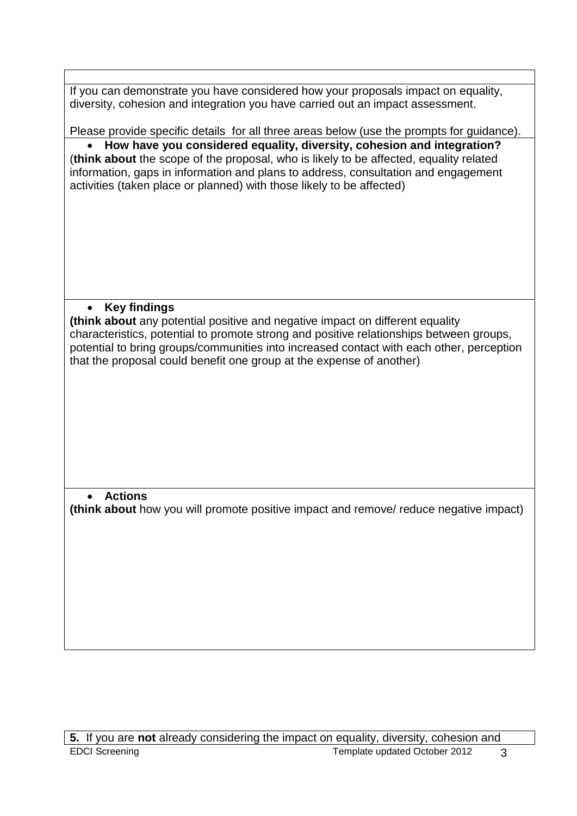If you can demonstrate you have considered how your proposals impact on equality, diversity, cohesion and integration you have carried out an impact assessment.

Please provide specific details for all three areas below (use the prompts for guidance).

 **How have you considered equality, diversity, cohesion and integration?** (**think about** the scope of the proposal, who is likely to be affected, equality related information, gaps in information and plans to address, consultation and engagement activities (taken place or planned) with those likely to be affected)

## **Key findings**

**(think about** any potential positive and negative impact on different equality characteristics, potential to promote strong and positive relationships between groups, potential to bring groups/communities into increased contact with each other, perception that the proposal could benefit one group at the expense of another)

**Actions**

**(think about** how you will promote positive impact and remove/ reduce negative impact)